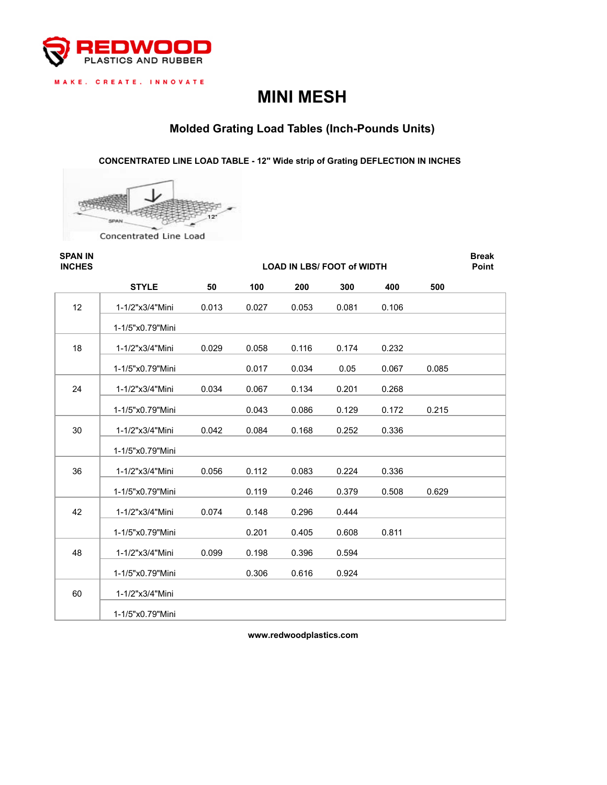

MAKE. CREATE. INNOVATE

# **MINI MESH**

# **Molded Grating Load Tables (Inch-Pounds Units)**

**CONCENTRATED LINE LOAD TABLE - 12" Wide strip of Grating DEFLECTION IN INCHES** 



**SPAN IN Break INCHES Point LOAD IN LBS/ FOOT of WIDTH 50 100 200 300 400 500** 12 1-1/2"x3/4"Mini 0.013 0.027 0.053 0.081 0.106 1-1/5"x0.79"Mini 18 1-1/2"x3/4"Mini 0.029 0.058 0.116 0.174 0.232 1-1/5"x0.79"Mini 0.017 0.034 0.05 0.067 0.085 24 1-1/2"x3/4"Mini 0.034 0.067 0.134 0.201 0.268 1-1/5"x0.79"Mini 0.043 0.086 0.129 0.172 0.215 30 1-1/2"x3/4"Mini 0.042 0.084 0.168 0.252 0.336 1-1/5"x0.79"Mini 36 1-1/2"x3/4"Mini 0.056 0.112 0.083 0.224 0.336 1-1/5"x0.79"Mini 0.119 0.246 0.379 0.508 0.629 42 1-1/2"x3/4"Mini 0.074 0.148 0.296 0.444 1-1/5"x0.79"Mini 0.201 0.405 0.608 0.811 48 1-1/2"x3/4"Mini 0.099 0.198 0.396 0.594 1-1/5"x0.79"Mini 0.306 0.616 0.924 60 1-1/2"x3/4"Mini 1-1/5"x0.79"Mini **STYLE** 

**www.redwoodplastics.com**